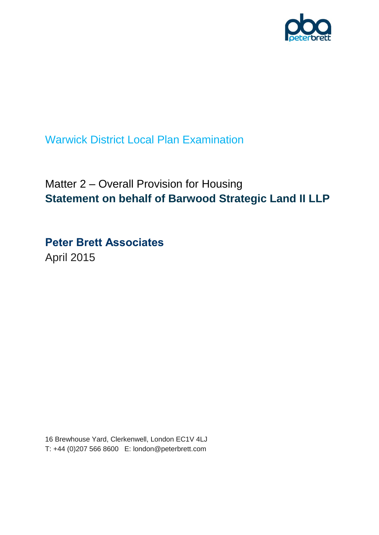

Warwick District Local Plan Examination

# Matter 2 – Overall Provision for Housing **Statement on behalf of Barwood Strategic Land II LLP**

**Peter Brett Associates** April 2015

16 Brewhouse Yard, Clerkenwell, London EC1V 4LJ T: +44 (0)207 566 8600 E: london@peterbrett.com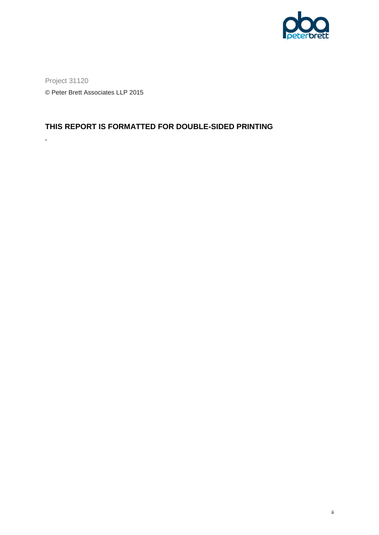

Project 31120 © Peter Brett Associates LLP 2015

**.**

### **THIS REPORT IS FORMATTED FOR DOUBLE-SIDED PRINTING**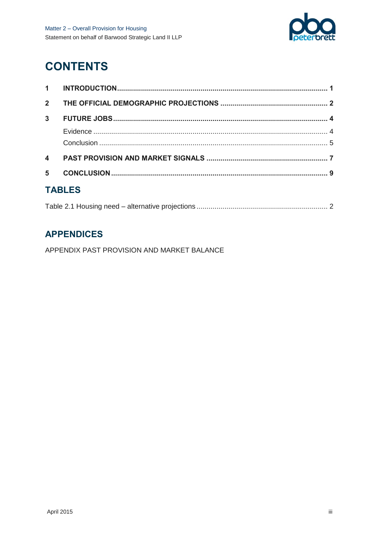

# **CONTENTS**

| $2^{\circ}$      |  |  |  |  |  |
|------------------|--|--|--|--|--|
| 3 <sup>1</sup>   |  |  |  |  |  |
|                  |  |  |  |  |  |
|                  |  |  |  |  |  |
| $\blacktriangle$ |  |  |  |  |  |
| 5                |  |  |  |  |  |
| TADI CO          |  |  |  |  |  |

### **TABLES**

### **APPENDICES**

APPENDIX PAST PROVISION AND MARKET BALANCE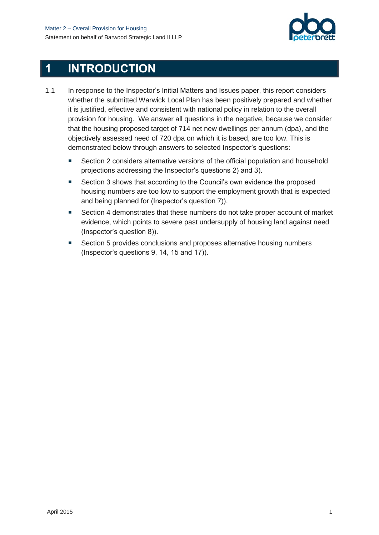

## <span id="page-4-0"></span>**1 INTRODUCTION**

- 1.1 In response to the Inspector's Initial Matters and Issues paper, this report considers whether the submitted Warwick Local Plan has been positively prepared and whether it is justified, effective and consistent with national policy in relation to the overall provision for housing. We answer all questions in the negative, because we consider that the housing proposed target of 714 net new dwellings per annum (dpa), and the objectively assessed need of 720 dpa on which it is based, are too low. This is demonstrated below through answers to selected Inspector's questions:
	- Section 2 considers alternative versions of the official population and household projections addressing the Inspector's questions 2) and 3).
	- Section 3 shows that according to the Council's own evidence the proposed housing numbers are too low to support the employment growth that is expected and being planned for (Inspector's question 7)).
	- Section 4 demonstrates that these numbers do not take proper account of market evidence, which points to severe past undersupply of housing land against need (Inspector's question 8)).
	- Section 5 provides conclusions and proposes alternative housing numbers (Inspector's questions 9, 14, 15 and 17)).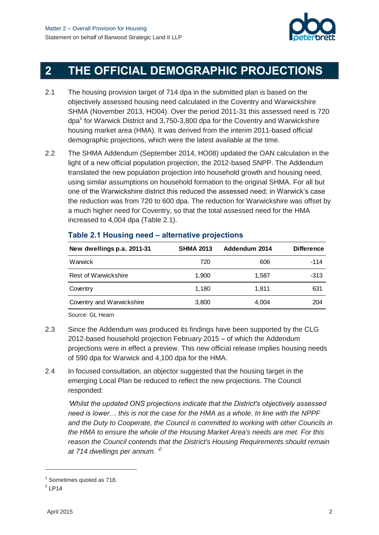

# <span id="page-5-0"></span>**2 THE OFFICIAL DEMOGRAPHIC PROJECTIONS**

- 2.1 The housing provision target of 714 dpa in the submitted plan is based on the objectively assessed housing need calculated in the Coventry and Warwickshire SHMA (November 2013, HO04). Over the period 2011-31 this assessed need is 720 dpa<sup>1</sup> for Warwick District and 3,750-3,800 dpa for the Coventry and Warwickshire housing market area (HMA). It was derived from the interim 2011-based official demographic projections, which were the latest available at the time.
- 2.2 The SHMA Addendum (September 2014, HO08) updated the OAN calculation in the light of a new official population projection, the 2012-based SNPP. The Addendum translated the new population projection into household growth and housing need, using similar assumptions on household formation to the original SHMA. For all but one of the Warwickshire district this reduced the assessed need; in Warwick's case the reduction was from 720 to 600 dpa. The reduction for Warwickshire was offset by a much higher need for Coventry, so that the total assessed need for the HMA increased to 4,004 dpa [\(Table 2.1\)](#page-5-1).

| New dwellings p.a. 2011-31  | <b>SHMA 2013</b> | Addendum 2014 | <b>Difference</b> |
|-----------------------------|------------------|---------------|-------------------|
| Warwick                     | 720              | 606           | $-114$            |
| <b>Rest of Warwickshire</b> | 1.900            | 1.587         | $-313$            |
| Coventry                    | 1.180            | 1.811         | 631               |
| Coventry and Warwickshire   | 3,800            | 4,004         | 204               |

### <span id="page-5-1"></span>**Table 2.1 Housing need – alternative projections**

Source: GL Hearn

- 2.3 Since the Addendum was produced its findings have been supported by the CLG 2012-based household projection February 2015 – of which the Addendum projections were in effect a preview. This new official release implies housing needs of 590 dpa for Warwick and 4,100 dpa for the HMA.
- 2.4 In focused consultation, an objector suggested that the housing target in the emerging Local Plan be reduced to reflect the new projections. The Council responded:

*'Whilst the updated ONS projections indicate that the District's objectively assessed need is lower… this is not the case for the HMA as a whole. In line with the NPPF and the Duty to Cooperate, the Council is committed to working with other Councils in the HMA to ensure the whole of the Housing Market Area's needs are met. For this reason the Council contends that the District's Housing Requirements should remain at 714 dwellings per annum. ' 2*

 $\overline{a}$ 

<sup>&</sup>lt;sup>1</sup> Sometimes quoted as 718.

 $2$  LP14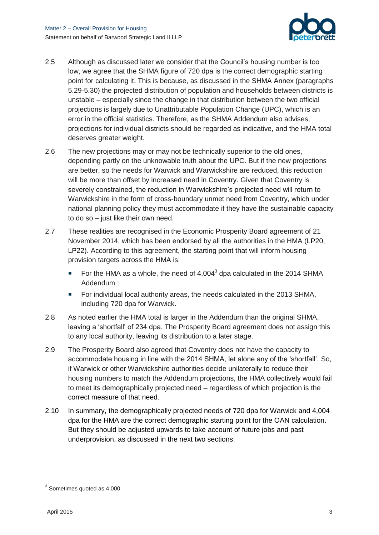

- 2.5 Although as discussed later we consider that the Council's housing number is too low, we agree that the SHMA figure of 720 dpa is the correct demographic starting point for calculating it. This is because, as discussed in the SHMA Annex (paragraphs 5.29-5.30) the projected distribution of population and households between districts is unstable – especially since the change in that distribution between the two official projections is largely due to Unattributable Population Change (UPC), which is an error in the official statistics. Therefore, as the SHMA Addendum also advises, projections for individual districts should be regarded as indicative, and the HMA total deserves greater weight.
- 2.6 The new projections may or may not be technically superior to the old ones, depending partly on the unknowable truth about the UPC. But if the new projections are better, so the needs for Warwick and Warwickshire are reduced, this reduction will be more than offset by increased need in Coventry. Given that Coventry is severely constrained, the reduction in Warwickshire's projected need will return to Warwickshire in the form of cross-boundary unmet need from Coventry, which under national planning policy they must accommodate if they have the sustainable capacity to do so – just like their own need.
- 2.7 These realities are recognised in the Economic Prosperity Board agreement of 21 November 2014, which has been endorsed by all the authorities in the HMA (LP20, LP22). According to this agreement, the starting point that will inform housing provision targets across the HMA is:
	- For the HMA as a whole, the need of  $4,004^3$  dpa calculated in the 2014 SHMA Addendum ;
	- **For individual local authority areas, the needs calculated in the 2013 SHMA,** including 720 dpa for Warwick.
- 2.8 As noted earlier the HMA total is larger in the Addendum than the original SHMA, leaving a 'shortfall' of 234 dpa. The Prosperity Board agreement does not assign this to any local authority, leaving its distribution to a later stage.
- 2.9 The Prosperity Board also agreed that Coventry does not have the capacity to accommodate housing in line with the 2014 SHMA, let alone any of the 'shortfall'. So, if Warwick or other Warwickshire authorities decide unilaterally to reduce their housing numbers to match the Addendum projections, the HMA collectively would fail to meet its demographically projected need – regardless of which projection is the correct measure of that need.
- 2.10 In summary, the demographically projected needs of 720 dpa for Warwick and 4,004 dpa for the HMA are the correct demographic starting point for the OAN calculation. But they should be adjusted upwards to take account of future jobs and past underprovision, as discussed in the next two sections.

l

 $3$  Sometimes quoted as 4,000.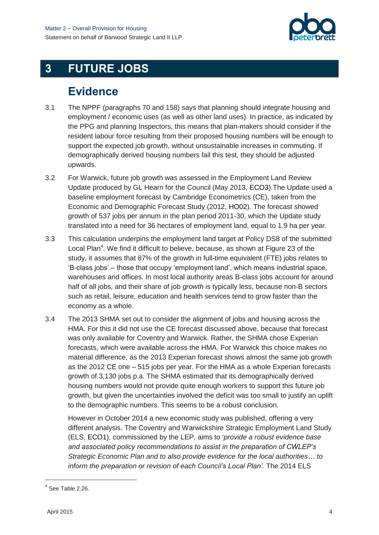

# <span id="page-7-0"></span>**3 FUTURE JOBS**

### **Evidence**

- <span id="page-7-1"></span>3.1 The NPPF (paragraphs 70 and 158) says that planning should integrate housing and employment / economic uses (as well as other land uses). In practice, as indicated by the PPG and planning Inspectors, this means that plan-makers should consider if the resident labour force resulting from their proposed housing numbers will be enough to support the expected job growth, without unsustainable increases in commuting. If demographically derived housing numbers fail this test, they should be adjusted upwards.
- 3.2 For Warwick, future job growth was assessed in the Employment Land Review Update produced by GL Hearn for the Council (May 2013, ECO3).The Update used a baseline employment forecast by Cambridge Econometrics (CE), taken from the Economic and Demographic Forecast Study (2012, HO02). The forecast showed growth of 537 jobs per annum in the plan period 2011-30, which the Update study translated into a need for 36 hectares of employment land, equal to 1.9 ha per year.
- 3.3 This calculation underpins the employment land target at Policy DS8 of the submitted Local Plan<sup>4</sup>. We find it difficult to believe, because, as shown at Figure 23 of the study, it assumes that 87% of the growth in full-time equivalent (FTE) jobs relates to 'B-class jobs' – those that occupy 'employment land', which means industrial space, warehouses and offices. In most local authority areas B-class jobs account for around half of all jobs, and their share of job *growth* is typically less, because non-B sectors such as retail, leisure, education and health services tend to grow faster than the economy as a whole.
- 3.4 The 2013 SHMA set out to consider the alignment of jobs and housing across the HMA. For this it did not use the CE forecast discussed above, because that forecast was only available for Coventry and Warwick. Rather, the SHMA chose Experian forecasts, which were available across the HMA. For Warwick this choice makes no material difference, as the 2013 Experian forecast shows almost the same job growth as the 2012 CE one – 515 jobs per year. For the HMA as a whole Experian forecasts growth of 3,130 jobs p.a. The SHMA estimated that its demographically derived housing numbers would not provide quite enough workers to support this future job growth, but given the uncertainties involved the deficit was too small to justify an uplift to the demographic numbers. This seems to be a robust conclusion.

However in October 2014 a new economic study was published, offering a very different analysis. The Coventry and Warwickshire Strategic Employment Land Study (ELS, ECO1), commissioned by the LEP, aims to '*provide a robust evidence base and associated policy recommendations to assist in the preparation of CWLEP's Strategic Economic Plan and to also provide evidence for the local authorities… to inform the preparation or revision of each Council's Local Plan'.* The 2014 ELS

l

<sup>&</sup>lt;sup>4</sup> See Table 2.26.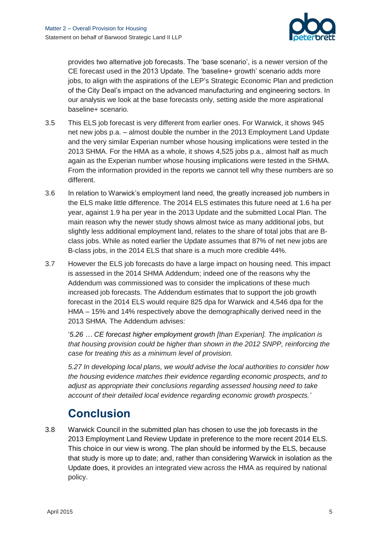

provides two alternative job forecasts. The 'base scenario', is a newer version of the CE forecast used in the 2013 Update. The 'baseline+ growth' scenario adds more jobs, to align with the aspirations of the LEP's Strategic Economic Plan and prediction of the City Deal's impact on the advanced manufacturing and engineering sectors. In our analysis we look at the base forecasts only, setting aside the more aspirational baseline+ scenario.

- 3.5 This ELS job forecast is very different from earlier ones. For Warwick, it shows 945 net new jobs p.a. – almost double the number in the 2013 Employment Land Update and the very similar Experian number whose housing implications were tested in the 2013 SHMA. For the HMA as a whole, it shows 4,525 jobs p.a., almost half as much again as the Experian number whose housing implications were tested in the SHMA. From the information provided in the reports we cannot tell why these numbers are so different.
- 3.6 In relation to Warwick's employment land need, the greatly increased job numbers in the ELS make little difference. The 2014 ELS estimates this future need at 1.6 ha per year, against 1.9 ha per year in the 2013 Update and the submitted Local Plan. The main reason why the newer study shows almost twice as many additional jobs, but slightly less additional employment land, relates to the share of total jobs that are Bclass jobs. While as noted earlier the Update assumes that 87% of net new jobs are B-class jobs, in the 2014 ELS that share is a much more credible 44%.
- 3.7 However the ELS job forecasts do have a large impact on housing need. This impact is assessed in the 2014 SHMA Addendum; indeed one of the reasons why the Addendum was commissioned was to consider the implications of these much increased job forecasts. The Addendum estimates that to support the job growth forecast in the 2014 ELS would require 825 dpa for Warwick and 4,546 dpa for the HMA – 15% and 14% respectively above the demographically derived need in the 2013 SHMA. The Addendum advises:

'*5.26 … CE forecast higher employment growth [than Experian]. The implication is that housing provision could be higher than shown in the 2012 SNPP, reinforcing the case for treating this as a minimum level of provision.*

*5.27 In developing local plans, we would advise the local authorities to consider how the housing evidence matches their evidence regarding economic prospects, and to adjust as appropriate their conclusions regarding assessed housing need to take account of their detailed local evidence regarding economic growth prospects.'*

## **Conclusion**

<span id="page-8-0"></span>3.8 Warwick Council in the submitted plan has chosen to use the job forecasts in the 2013 Employment Land Review Update in preference to the more recent 2014 ELS. This choice in our view is wrong. The plan should be informed by the ELS, because that study is more up to date; and, rather than considering Warwick in isolation as the Update does, it provides an integrated view across the HMA as required by national policy.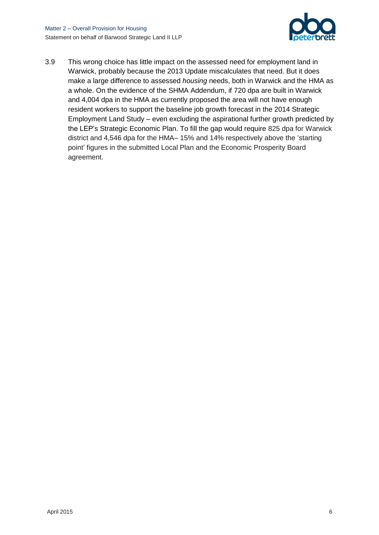

3.9 This wrong choice has little impact on the assessed need for employment land in Warwick, probably because the 2013 Update miscalculates that need. But it does make a large difference to assessed *housing* needs, both in Warwick and the HMA as a whole. On the evidence of the SHMA Addendum, if 720 dpa are built in Warwick and 4,004 dpa in the HMA as currently proposed the area will not have enough resident workers to support the baseline job growth forecast in the 2014 Strategic Employment Land Study – even excluding the aspirational further growth predicted by the LEP's Strategic Economic Plan. To fill the gap would require 825 dpa for Warwick district and 4,546 dpa for the HMA– 15% and 14% respectively above the 'starting point' figures in the submitted Local Plan and the Economic Prosperity Board agreement.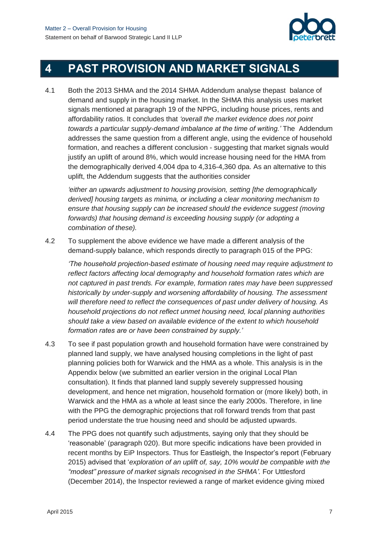

# <span id="page-10-0"></span>**4 PAST PROVISION AND MARKET SIGNALS**

4.1 Both the 2013 SHMA and the 2014 SHMA Addendum analyse thepast balance of demand and supply in the housing market. In the SHMA this analysis uses market signals mentioned at paragraph 19 of the NPPG, including house prices, rents and affordability ratios. It concludes that *'overall the market evidence does not point towards a particular supply-demand imbalance at the time of writing.'* The Addendum addresses the same question from a different angle, using the evidence of household formation, and reaches a different conclusion - suggesting that market signals would justify an uplift of around 8%, which would increase housing need for the HMA from the demographically derived 4,004 dpa to 4,316-4,360 dpa. As an alternative to this uplift, the Addendum suggests that the authorities consider

*'either an upwards adjustment to housing provision, setting [the demographically derived] housing targets as minima, or including a clear monitoring mechanism to ensure that housing supply can be increased should the evidence suggest (moving forwards) that housing demand is exceeding housing supply (or adopting a combination of these).*

4.2 To supplement the above evidence we have made a different analysis of the demand-supply balance, which responds directly to paragraph 015 of the PPG:

*'The household projection-based estimate of housing need may require adjustment to reflect factors affecting local demography and household formation rates which are not captured in past trends. For example, formation rates may have been suppressed historically by under-supply and worsening affordability of housing. The assessment will therefore need to reflect the consequences of past under delivery of housing. As household projections do not reflect unmet housing need, local planning authorities should take a view based on available evidence of the extent to which household formation rates are or have been constrained by supply.'*

- 4.3 To see if past population growth and household formation have were constrained by planned land supply, we have analysed housing completions in the light of past planning policies both for Warwick and the HMA as a whole. This analysis is in the Appendix below (we submitted an earlier version in the original Local Plan consultation). It finds that planned land supply severely suppressed housing development, and hence net migration, household formation or (more likely) both, in Warwick and the HMA as a whole at least since the early 2000s. Therefore, in line with the PPG the demographic projections that roll forward trends from that past period understate the true housing need and should be adjusted upwards.
- 4.4 The PPG does not quantify such adjustments, saying only that they should be 'reasonable' (paragraph 020). But more specific indications have been provided in recent months by EiP Inspectors. Thus for Eastleigh, the Inspector's report (February 2015) advised that '*exploration of an uplift of, say, 10% would be compatible with the*  "*modest" pressure of market signals recognised in the SHMA'.* For Uttlesford (December 2014), the Inspector reviewed a range of market evidence giving mixed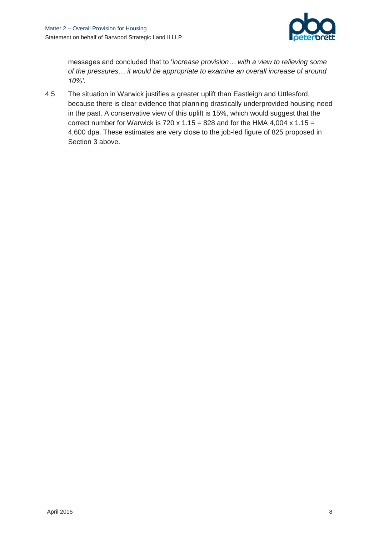

messages and concluded that to '*increase provision… with a view to relieving some of the pressures*… *it would be appropriate to examine an overall increase of around 10%'.* 

4.5 The situation in Warwick justifies a greater uplift than Eastleigh and Uttlesford, because there is clear evidence that planning drastically underprovided housing need in the past. A conservative view of this uplift is 15%, which would suggest that the correct number for Warwick is 720 x 1.15 = 828 and for the HMA 4,004 x 1.15 = 4,600 dpa. These estimates are very close to the job-led figure of 825 proposed in Section 3 above.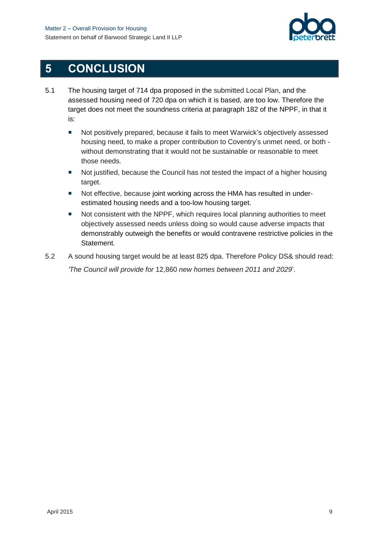

## <span id="page-12-0"></span>**5 CONCLUSION**

- 5.1 The housing target of 714 dpa proposed in the submitted Local Plan, and the assessed housing need of 720 dpa on which it is based, are too low. Therefore the target does not meet the soundness criteria at paragraph 182 of the NPPF, in that it is:
	- Not positively prepared, because it fails to meet Warwick's objectively assessed housing need, to make a proper contribution to Coventry's unmet need, or both without demonstrating that it would not be sustainable or reasonable to meet those needs.
	- Not justified, because the Council has not tested the impact of a higher housing target.
	- Not effective, because joint working across the HMA has resulted in underestimated housing needs and a too-low housing target.
	- Not consistent with the NPPF, which requires local planning authorities to meet objectively assessed needs unless doing so would cause adverse impacts that demonstrably outweigh the benefits or would contravene restrictive policies in the Statement.
- 5.2 A sound housing target would be at least 825 dpa. Therefore Policy DS& should read: *'The Council will provide for* 12,860 *new homes between 2011 and 2029*'.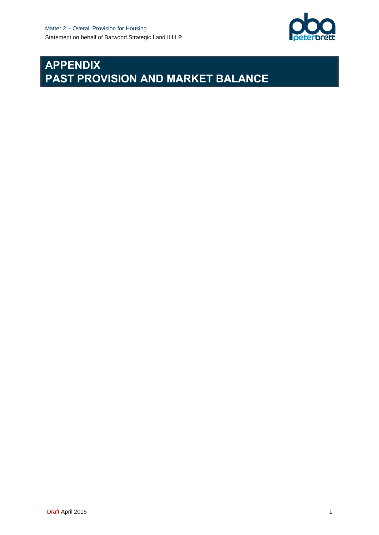

# **APPENDIX PAST PROVISION AND MARKET BALANCE**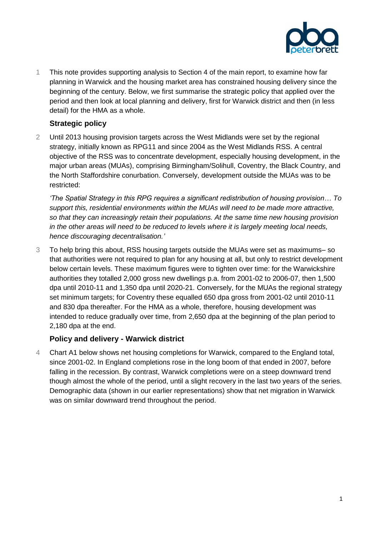

1 This note provides supporting analysis to Section 4 of the main report, to examine how far planning in Warwick and the housing market area has constrained housing delivery since the beginning of the century. Below, we first summarise the strategic policy that applied over the period and then look at local planning and delivery, first for Warwick district and then (in less detail) for the HMA as a whole.

#### **Strategic policy**

2 Until 2013 housing provision targets across the West Midlands were set by the regional strategy, initially known as RPG11 and since 2004 as the West Midlands RSS. A central objective of the RSS was to concentrate development, especially housing development, in the major urban areas (MUAs), comprising Birmingham/Solihull, Coventry, the Black Country, and the North Staffordshire conurbation. Conversely, development outside the MUAs was to be restricted:

*'The Spatial Strategy in this RPG requires a significant redistribution of housing provision… To support this, residential environments within the MUAs will need to be made more attractive, so that they can increasingly retain their populations. At the same time new housing provision in the other areas will need to be reduced to levels where it is largely meeting local needs, hence discouraging decentralisation.'*

3 To help bring this about, RSS housing targets outside the MUAs were set as maximums– so that authorities were not required to plan for any housing at all, but only to restrict development below certain levels. These maximum figures were to tighten over time: for the Warwickshire authorities they totalled 2,000 gross new dwellings p.a. from 2001-02 to 2006-07, then 1,500 dpa until 2010-11 and 1,350 dpa until 2020-21. Conversely, for the MUAs the regional strategy set minimum targets; for Coventry these equalled 650 dpa gross from 2001-02 until 2010-11 and 830 dpa thereafter. For the HMA as a whole, therefore, housing development was intended to reduce gradually over time, from 2,650 dpa at the beginning of the plan period to 2,180 dpa at the end.

### **Policy and delivery - Warwick district**

4 Chart A1 below shows net housing completions for Warwick, compared to the England total, since 2001-02. In England completions rose in the long boom of that ended in 2007, before falling in the recession. By contrast, Warwick completions were on a steep downward trend though almost the whole of the period, until a slight recovery in the last two years of the series. Demographic data (shown in our earlier representations) show that net migration in Warwick was on similar downward trend throughout the period.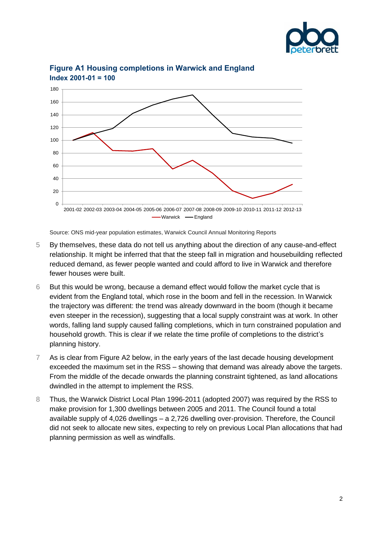



### **Figure A1 Housing completions in Warwick and England Index 2001-01 = 100**

Source: ONS mid-year population estimates, Warwick Council Annual Monitoring Reports

- 5 By themselves, these data do not tell us anything about the direction of any cause-and-effect relationship. It might be inferred that that the steep fall in migration and housebuilding reflected reduced demand, as fewer people wanted and could afford to live in Warwick and therefore fewer houses were built.
- 6 But this would be wrong, because a demand effect would follow the market cycle that is evident from the England total, which rose in the boom and fell in the recession. In Warwick the trajectory was different: the trend was already downward in the boom (though it became even steeper in the recession), suggesting that a local supply constraint was at work. In other words, falling land supply caused falling completions, which in turn constrained population and household growth. This is clear if we relate the time profile of completions to the district's planning history.
- 7 As is clear from Figure A2 below, in the early years of the last decade housing development exceeded the maximum set in the RSS – showing that demand was already above the targets. From the middle of the decade onwards the planning constraint tightened, as land allocations dwindled in the attempt to implement the RSS.
- 8 Thus, the Warwick District Local Plan 1996-2011 (adopted 2007) was required by the RSS to make provision for 1,300 dwellings between 2005 and 2011. The Council found a total available supply of 4,026 dwellings – a 2,726 dwelling over-provision. Therefore, the Council did not seek to allocate new sites, expecting to rely on previous Local Plan allocations that had planning permission as well as windfalls.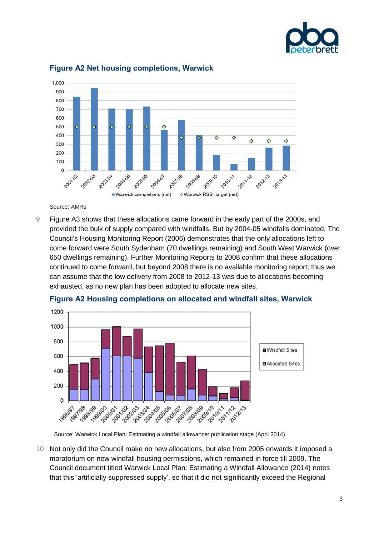



#### **Figure A2 Net housing completions, Warwick**

Source: AMRs

9 Figure A3 shows that these allocations came forward in the early part of the 2000s, and provided the bulk of supply compared with windfalls. But by 2004-05 windfalls dominated. The Council's Housing Monitoring Report (2006) demonstrates that the only allocations left to come forward were South Sydenham (70 dwellings remaining) and South West Warwick (over 650 dwellings remaining). Further Monitoring Reports to 2008 confirm that these allocations continued to come forward, but beyond 2008 there is no available monitoring report; thus we can assume that the low delivery from 2008 to 2012-13 was due to allocations becoming exhausted, as no new plan has been adopted to allocate new sites.



**Figure A2 Housing completions on allocated and windfall sites, Warwick**

Source: Warwick Local Plan: Estimating a windfall allowance: publication stage (April 2014)

10 Not only did the Council make no new allocations, but also from 2005 onwards it imposed a moratorium on new windfall housing permissions, which remained in force till 2009. The Council document titled Warwick Local Plan: Estimating a Windfall Allowance (2014) notes that this 'artificially suppressed supply', so that it did not significantly exceed the Regional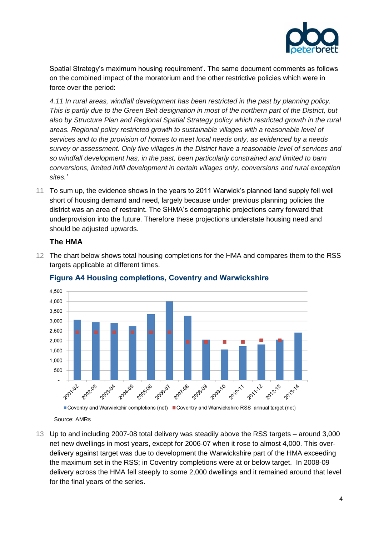

Spatial Strategy's maximum housing requirement'. The same document comments as follows on the combined impact of the moratorium and the other restrictive policies which were in force over the period:

*4.11 In rural areas, windfall development has been restricted in the past by planning policy. This is partly due to the Green Belt designation in most of the northern part of the District, but also by Structure Plan and Regional Spatial Strategy policy which restricted growth in the rural areas. Regional policy restricted growth to sustainable villages with a reasonable level of services and to the provision of homes to meet local needs only, as evidenced by a needs survey or assessment. Only five villages in the District have a reasonable level of services and so windfall development has, in the past, been particularly constrained and limited to barn conversions, limited infill development in certain villages only, conversions and rural exception sites.'*

11 To sum up, the evidence shows in the years to 2011 Warwick's planned land supply fell well short of housing demand and need, largely because under previous planning policies the district was an area of restraint. The SHMA's demographic projections carry forward that underprovision into the future. Therefore these projections understate housing need and should be adjusted upwards.

#### **The HMA**

12 The chart below shows total housing completions for the HMA and compares them to the RSS targets applicable at different times.



### **Figure A4 Housing completions, Coventry and Warwickshire**

Source: AMRs

13 Up to and including 2007-08 total delivery was steadily above the RSS targets – around 3,000 net new dwellings in most years, except for 2006-07 when it rose to almost 4,000. This overdelivery against target was due to development the Warwickshire part of the HMA exceeding the maximum set in the RSS; in Coventry completions were at or below target. In 2008-09 delivery across the HMA fell steeply to some 2,000 dwellings and it remained around that level for the final years of the series.